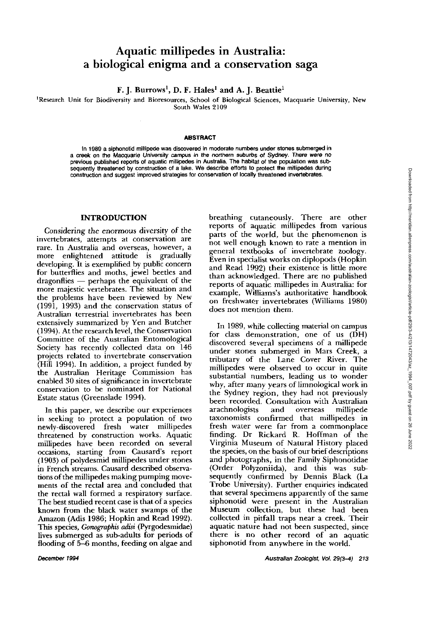# **Aquatic millipedes in Australia: a biological enigma and a conservation saga**

F. J. Burrows<sup>1</sup>, D. F. Hales<sup>1</sup> and A. J. Beattie<sup>1</sup>

**'Research Unit for Biodiversity and Bioresources, School of Biological Sciences, Macquarie University, New South Wales 2109** 

#### **ABSTRACT**

In 1989 a siphonotid millipede was discovered in moderate numbers under stones submerged in **a creek on the Macquarie University campus in the northern suburbb of Sydney. There were no previous published reports of aquatic millipedes in Australia. The habitat of the population was sub**  sequently threatened by construction of a lake. We describe efforts to protect the millipedes during **construction and suggest improved strategies for conservation of locally threatened invertebrates.** 

# **INTRODUCTION**

Considering the enormous diversity of the invertebrates, attempts at conservation are rare. In Australia and overseas, however, a more enlightened attitude is gradually developing. It is exemplified by public concern for butterflies and moths, jewel beetles and dragonflies - perhaps the equivalent of the more majestic vertebrates. The situation and the problems have been reviewed by New (1991, 1993) and the conservation status of Australian terrestrial invertebrates has been extensively summarized by Yen and Butcher (1994). At the research level, the Conservation Committee of the Australian Entomological Society has recently collected data on 146 projects related to invertebrate conservation (Hill 1994). In addition, a project funded by the Australian Heritage Commission has enabled 30 sites of significance in invertebrate conservation to be nominated for National Estate status (Greenslade 1994).

In this paper, we describe our experiences in seeking to protect a population of two newly-discovered fresh water millipedes threatened by construction works. Aquatic millipedes have been recorded on several occasions, starting from Causard's report (1903) of polydesmid millipedes under stones in French streams. Causard described observations of the millipedes making pumping movements of the rectal area and concluded that the rectal wall formed a respiratory surface. The best studied recent case is that of a species known from the black water swamps of the Amazon (Adis 1986; Hopkin and Read 1992). This species, *Gonographis adist* (Pyrgodesmidae) lives submerged as sub-adults for periods of flooding of 5-6 months, feeding on algae and breathing cutaneously. There are other reports of aquatic millipedes from various parts of the world, but the phenomenon is not well enough known to rate a mention in general textbooks of invertebrate zoology. Even in specialist works on diplopods (Hopkin and Read 1992) their existence is little more than acknowledged. There are no published reports of aquatic millipedes in Australia: for example, Williams's authoritative handbook on freshwater invertebrates (Williams 1980) does not mention them.

In 1989, while collecting material on campus for class demonstration, one of us (DH) discovered several specimens of a millipede under stones submerged in Mars Creek, a tributary of the Lane Cover River. The millipedes were observed to occur in quite substantial numbers, leading us to wonder why, after many years of limnological work in the Sydney region, they had not previously been recorded. Consultation with Australian<br>arachnologists and overseas millipede arachnologists and taxonomists confirmed that millipedes in fresh water were far from a commonplace finding. Dr Rickard R. Hoffman of the Virginia Museum of Natural History placed the species, on the basis of our brief descriptions and photographs, in the Family Siphonotidae (Order Polyzoniida), and this was subsequently confirmed by Dennis Black (La **Trobe** University). Further enquiries indicated that several specimens apparently of the same siphonotid were present in the Australian Museum collection, but these had been collected in pitfall traps near a creek. Their aquatic nature had not been suspected, since there is no other record of an aquatic siphonotid from anywhere in the world.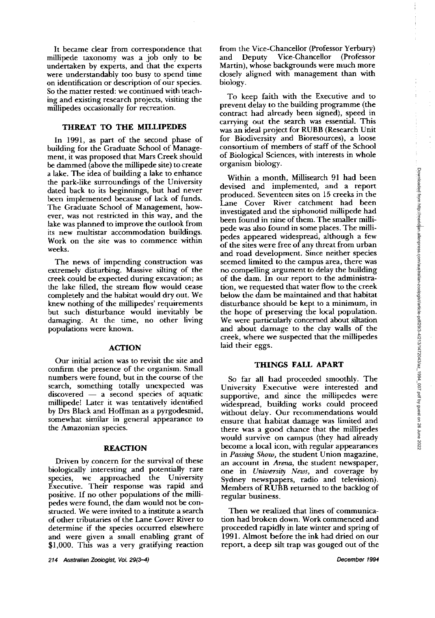It became clear from correspondence that millipede taxonomy was a job only to be undertaken by experts, and that the experts were understandably too busy to spend time on identification or description of our species. So the matter rested: we continued with teaching and existing research projects, visiting the millipedes occasionally for recreation.

# **THREAT TO THE MILLIPEDES**

In 1991, as part of the second phase of building for the Graduate School of Management, it was proposed that Mars Creek should be dammed (above the millipede site) to create a lake. The idea of building a lake to enhance the park-like surroundings of the University dated back to its beginnings, but had never been implemented because of lack of funds. The Graduate School of Management, however, was not restricted in this way, and the lake was planned to improve the outlook from its new multistar accommodation buildings. Work on the site was to commence within weeks.

The news of impending construction was extremely disturbing. Massive silting of the creek could be expected during excavation; as the lake filled, the stream flow would cease completely and the habitat would dry out. We knew nothing of the millipedes' requirements but such disturbance would inevitably be damaging. At the time, no other living populations were known.

#### **ACTION**

Our initial action was to revisit the site and confirm the presence of the organism. Small numbers were found, but in the course of the<br>search, something totally unexpected was<br>discovered — a second species of aquatic<br>millipedel Later it was tentatively identified search, something totally unexpected was<br>discovered — a second species of aquatic millipede! Later it was tentatively identified by Drs Black and Hoffman as a pyrgodesmid, somewhat similar in general appearance to the Amazonian species.

#### **REACTION**

Driven by concern for the survival of these biologically interesting and potentially rare species, we approached the University Executive. Their response was rapid and positive. If no other populations of the millipedes were found, the dam would not be constructed. We were invited to a institute a search of other tributaries of the Lane Cover River to determine if the species occurred elsewhere and were given a small enabling grant of \$1,000. This was a very gratifying reaction

**214 Australian Z&gist, Vo1.29(3-4) December 1994** 

from the Vice-Chancellor (Professor Yerbury) and Deputy Vice-Chancellor (Professor Martin), whose backgrounds were much more closely aligned with management than with biology.

To keep faith with the Executive and to prevent delay to the building programme (the contract had already been signed), speed in carrying out the search was essential. This was an ideal project for RUBB (Research Unit for Biodiversity and Bioresources), a loose consortium of members of staff of the School of Biological Sciences, with interests in whole organism biology.

Within a month, Millisearch 91 had been devised and implemented, and a report produced. Seventeen sites on 15 creeks in the Lane Cover River catchment had been investigated and the siphonotid millipede had been found in nine of them. The smaller millipede was also found in some places. The millipedes appeared widespread, although a few of the sites were free of any threat from urban and road development. Since neither species seemed limited to the campus area, there was no compelling argument to delay the building of the dam. In our report to the administration, we requested that water flow to the creek below the dam be maintained and that habitat disturbance should be kept to a minimum, in the hope of preserving the local population. We were particularly concerned about siltation and about damage to the clay walls of the creek, where we suspected that the millipedes laid their eggs.

#### **THINGS FALL APART**

So far all had proceeded smoothly. The University Executive were interested and supportive, and since the millipedes were widespread, building works could proceed without delay. Our recommendations would ensure that habitat damage was limited and there was a good chance that the millipedes would survive on campus (they had already become a local icon, with regular appearances in *Posing* Show, the student Union magazine, an account in Arena, the student newspaper, one in University News, and coverage by Sydney newspapers, radio and television). Members of RUBB returned to the backlog of regular business.

Then we realized that lines of communication had broken down. Work commenced and proceeded rapidly in late winter and spring of 1991. Almost before the ink had dried on our report, a deep silt trap was gouged out of the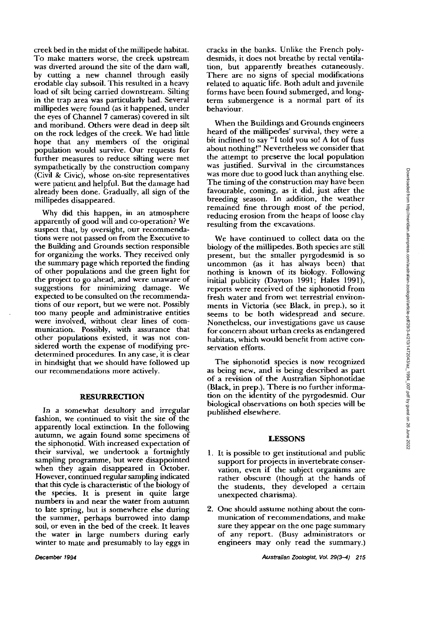creek bed in the midst of the millipede habitat. To make matters worse, the creek upstream was diverted around the site of the dam wall, by cutting a new channel through easily erodable clay subsoil. This resulted in a heavy load of silt being carried downstream. Silting in the trap area was particularly bad. Several millipedes were found (as it happened, under the eyes of Channel 7 cameras) covered in silt and moribund. Others were dead in deep silt on the rock ledges of the creek. We had little hope that any members of the original population would survive. Our requests for further measures to reduce silting were met sympathetically by the construction company (Civil & Civic), whose on-site representatives were patient and helpful. But the damage had already been done. Gradually, all sign of the millipedes disappeared.

Why did this happen, in an atmosphere apparently of good will and co-operation? We suspect that, by oversight, our recommendations were not passed on from the Executive to the Building and Grounds section responsible for organizing the works. They received only the summary page which reported the finding of other populations and the green light for the project to go ahead, and were unaware of suggestions for minimizing damage. We expected to be consulted on the recommendations of our report, but we were not. Possibly too many people and administrative entities were involved, without clear lines of communication. Possibly, with assurance that other populations existed, it was not considered worth the expense of modifying predetermined procedures. In any case, it is clear in hindsight that we should have followed up our recommendations more actively.

### **RESURRECTION**

In a somewhat desultory and irregular fashion, we continued to visit the site of the apparently local extinction. In the following autumn, we again found some specimens of the siphonotid. With increased expectation of their survival, we undertook a fortnightly sampling programme, but were disappointed when they again disappeared in October. However, continued regular sampling indicated that this cyde is characteristic of the biology of the species. It is present in quite large numbers in and near the water from autumn to late spring, but is somewhere else during the summer, perhaps burrowed into damp soil, or even in the bed of the creek. It leaves the water in large numbers during early winter to mate and presumably to lay eggs in cracks in the banks. Unlike the French polydesmids, it does not breathe by rectal ventilation, but apparently breathes cutaneously. There are no signs of special modifications related to aquatic life. Both adult and juvenile forms have been found submerged, and longterm submergence is a normal part of its behaviour.

When the Buildings and Grounds engineers heard of the millipedes' survival, they were a bit inclined to say "I told you so! A lot of fuss about nothing!" Nevertheless we consider that the attempt to preserve the local population was justified. Survival in the circumstances was more due to good luck than anything else. The timing of the construction may have been favourable, coming, as it did, just after the breeding season. In addition, the weather remained fine through most of the period, reducing erosion from the heaps of loose clay resulting from the excavations.

We have continued to collect data on the biology of the millipedes. Both species are still present, but the smaller pyrgodesmid is so uncommon (as it has always been) that nothing is known of its biology. Following initial publicity (Dayton 1991; Hales 1991), reports were received of the siphonotid from fresh water and from wet terrestrial environments in Victoria (see Black, in prep.), so it seems to be both widespread and secure. Nonetheless, our investigations gave us cause for concern about urban creeks as endangered habitats, which would benefit from active conservation efforts.

The siphonotid species is now recognized as being new, and is being described as part of a revision of the Australian Siphonotidae (Black, in prep.). There is no further information on the identity of the pyrgodesmid. Our biological observations on both species will be published elsewhere.

#### **LESSONS**

- 1. It is possible to get institutional and public support for projects in invertebrate conservation, even if the subject organisms are rather obscure (though at the hands of the students, they developed a certain unexpected charisma).
- 2. One should assume nothing about the communication of recommendations, and make sure they appear on the one page summary of any report. (Busy administrators or engineers may only read the summary.)